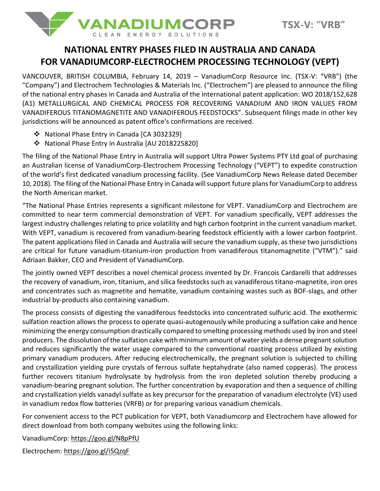

# **NATIONAL ENTRY PHASES FILED IN AUSTRALIA AND CANADA FOR VANADIUMCORP-ELECTROCHEM PROCESSING TECHNOLOGY (VEPT)**

VANCOUVER, BRITISH COLUMBIA, February 14, 2019 – VanadiumCorp Resource Inc. (TSX-V: "VRB") (the "Company") and Electrochem Technologies & Materials Inc. ("Electrochem") are pleased to announce the filing of the national entry phases in Canada and Australia of the international patent application: WO 2018/152,628 (A1) METALLURGICAL AND CHEMICAL PROCESS FOR RECOVERING VANADIUM AND IRON VALUES FROM VANADIFEROUS TITANOMAGNETITE AND VANADIFEROUS FEEDSTOCKS". Subsequent filings made in other key jurisdictions will be announced as patent office's confirmations are received.

- ❖ National Phase Entry in Canada [CA 3032329]
- ❖ National Phase Entry in Australia [AU 2018225820]

The filing of the National Phase Entry in Australia will support Ultra Power Systems PTY Ltd goal of purchasing an Australian license of VanadiumCorp-Electrochem Processing Technology ("VEPT") to expedite construction of the world's first dedicated vanadium processing facility. (See VanadiumCorp News Release dated December 10, 2018). The filing of the National Phase Entry in Canada will support future plans for VanadiumCorp to address the North American market.

"The National Phase Entries represents a significant milestone for VEPT. VanadiumCorp and Electrochem are committed to near term commercial demonstration of VEPT. For vanadium specifically, VEPT addresses the largest industry challenges relating to price volatility and high carbon footprint in the current vanadium market. With VEPT, vanadium is recovered from vanadium-bearing feedstock efficiently with a lower carbon footprint. The patent applications filed in Canada and Australia will secure the vanadium supply, as these two jurisdictions are critical for future vanadium-titanium-iron production from vanadiferous titanomagnetite ("VTM")." said Adriaan Bakker, CEO and President of VanadiumCorp.

The jointly owned VEPT describes a novel chemical process invented by Dr. Francois Cardarelli that addresses the recovery of vanadium, iron, titanium, and silica feedstocks such as vanadiferous titano-magnetite, iron ores and concentrates such as magnetite and hematite, vanadium containing wastes such as BOF-slags, and other industrial by-products also containing vanadium.

The process consists of digesting the vanadiferous feedstocks into concentrated sulfuric acid. The exothermic sulfation reaction allows the process to operate quasi-autogenously while producing a sulfation cake and hence minimizing the energy consumption drastically compared to smelting processing methods used by iron and steel producers. The dissolution of the sulfation cake with minimum amount of water yields a dense pregnant solution and reduces significantly the water usage compared to the conventional roasting process utilized by existing primary vanadium producers. After reducing electrochemically, the pregnant solution is subjected to chilling and crystallization yielding pure crystals of ferrous sulfate heptahydrate (also named copperas). The process further recovers titanium hydrolysate by hydrolysis from the iron depleted solution thereby producing a vanadium-bearing pregnant solution. The further concentration by evaporation and then a sequence of chilling and crystallization yields vanadyl sulfate as key precursor for the preparation of vanadium electrolyte (VE) used in vanadium redox flow batteries (VRFB) or for preparing various vanadium chemicals.

For convenient access to the PCT publication for VEPT, both Vanadiumcorp and Electrochem have allowed for direct download from both company websites using the following links:

VanadiumCorp:<https://goo.gl/N8pPfU>

Electrochem:<https://goo.gl/i5QzqF>